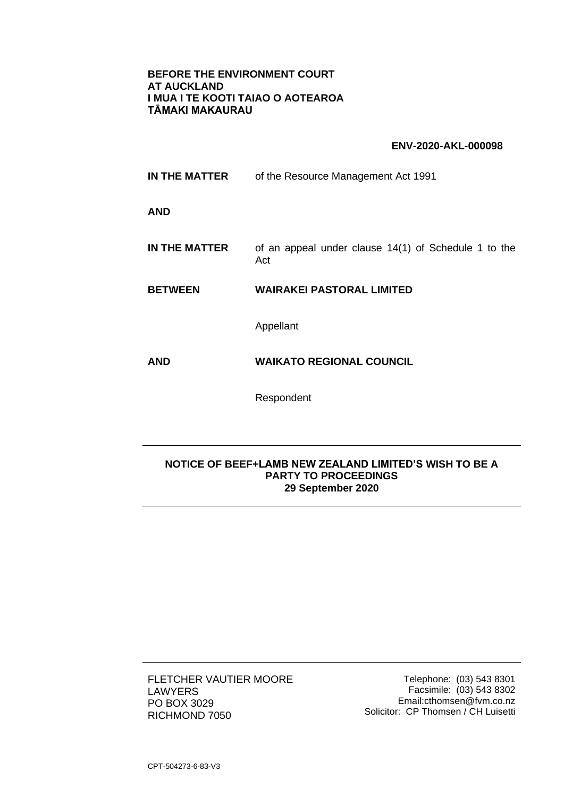## **BEFORE THE ENVIRONMENT COURT AT AUCKLAND I MUA I TE KOOTI TAIAO O AOTEAROA TĀMAKI MAKAURAU**

## **ENV-2020-AKL-000098**

| IN THE MATTER        | of the Resource Management Act 1991                         |
|----------------------|-------------------------------------------------------------|
| <b>AND</b>           |                                                             |
| <b>IN THE MATTER</b> | of an appeal under clause 14(1) of Schedule 1 to the<br>Act |
| <b>BETWEEN</b>       | <b>WAIRAKEI PASTORAL LIMITED</b>                            |
|                      | Appellant                                                   |
| <b>AND</b>           | <b>WAIKATO REGIONAL COUNCIL</b>                             |
|                      | Respondent                                                  |

## **NOTICE OF BEEF+LAMB NEW ZEALAND LIMITED'S WISH TO BE A PARTY TO PROCEEDINGS 29 September 2020**

FLETCHER VAUTIER MOORE LAWYERS PO BOX 3029 RICHMOND 7050

Telephone: (03) 543 8301 Facsimile: (03) 543 8302 Email:cthomsen@fvm.co.nz Solicitor: CP Thomsen / CH Luisetti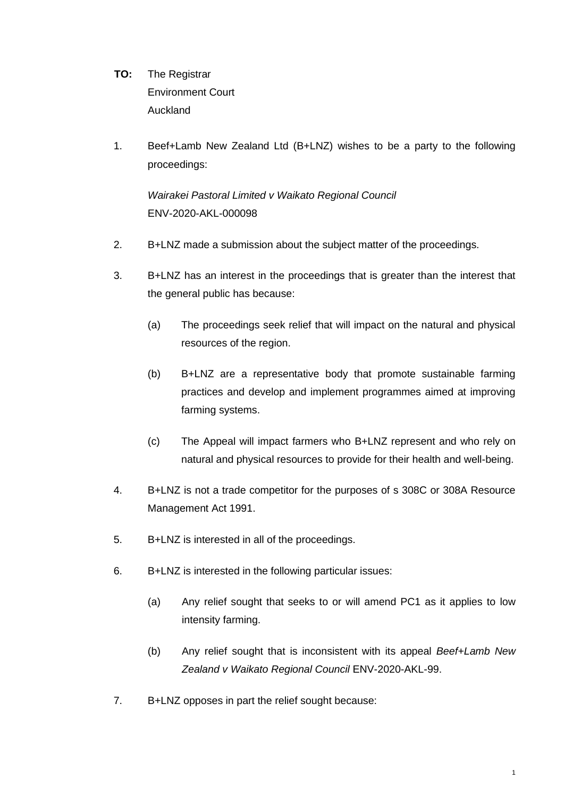- **TO:** The Registrar Environment Court Auckland
- 1. Beef+Lamb New Zealand Ltd (B+LNZ) wishes to be a party to the following proceedings:

*Wairakei Pastoral Limited v Waikato Regional Council*  ENV-2020-AKL-000098

- 2. B+LNZ made a submission about the subject matter of the proceedings.
- 3. B+LNZ has an interest in the proceedings that is greater than the interest that the general public has because:
	- (a) The proceedings seek relief that will impact on the natural and physical resources of the region.
	- (b) B+LNZ are a representative body that promote sustainable farming practices and develop and implement programmes aimed at improving farming systems.
	- (c) The Appeal will impact farmers who B+LNZ represent and who rely on natural and physical resources to provide for their health and well-being.
- 4. B+LNZ is not a trade competitor for the purposes of s 308C or 308A Resource Management Act 1991.
- 5. B+LNZ is interested in all of the proceedings.
- 6. B+LNZ is interested in the following particular issues:
	- (a) Any relief sought that seeks to or will amend PC1 as it applies to low intensity farming.
	- (b) Any relief sought that is inconsistent with its appeal *Beef+Lamb New Zealand v Waikato Regional Council* ENV-2020-AKL-99.
- 7. B+LNZ opposes in part the relief sought because: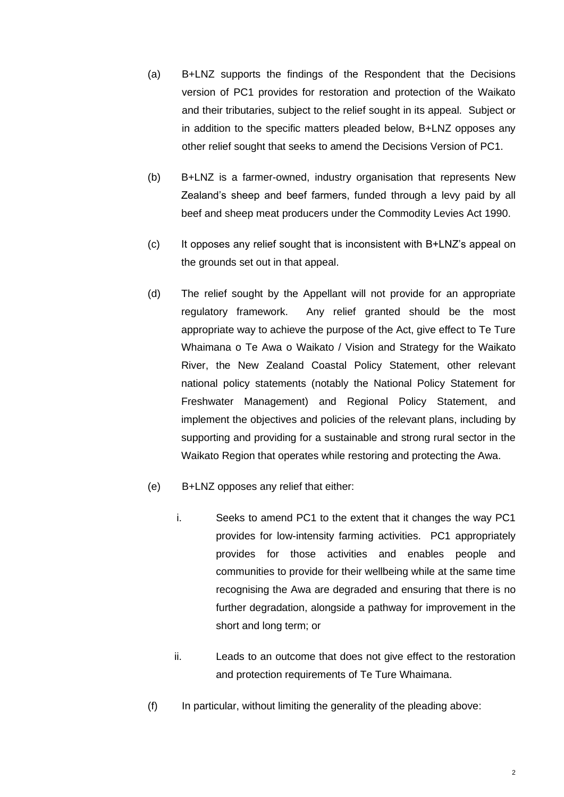- (a) B+LNZ supports the findings of the Respondent that the Decisions version of PC1 provides for restoration and protection of the Waikato and their tributaries, subject to the relief sought in its appeal. Subject or in addition to the specific matters pleaded below, B+LNZ opposes any other relief sought that seeks to amend the Decisions Version of PC1.
- (b) B+LNZ is a farmer-owned, industry organisation that represents New Zealand's sheep and beef farmers, funded through a levy paid by all beef and sheep meat producers under the Commodity Levies Act 1990.
- (c) It opposes any relief sought that is inconsistent with B+LNZ's appeal on the grounds set out in that appeal.
- (d) The relief sought by the Appellant will not provide for an appropriate regulatory framework. Any relief granted should be the most appropriate way to achieve the purpose of the Act, give effect to Te Ture Whaimana o Te Awa o Waikato / Vision and Strategy for the Waikato River, the New Zealand Coastal Policy Statement, other relevant national policy statements (notably the National Policy Statement for Freshwater Management) and Regional Policy Statement, and implement the objectives and policies of the relevant plans, including by supporting and providing for a sustainable and strong rural sector in the Waikato Region that operates while restoring and protecting the Awa.
- (e) B+LNZ opposes any relief that either:
	- i. Seeks to amend PC1 to the extent that it changes the way PC1 provides for low-intensity farming activities. PC1 appropriately provides for those activities and enables people and communities to provide for their wellbeing while at the same time recognising the Awa are degraded and ensuring that there is no further degradation, alongside a pathway for improvement in the short and long term; or
	- ii. Leads to an outcome that does not give effect to the restoration and protection requirements of Te Ture Whaimana.
- (f) In particular, without limiting the generality of the pleading above: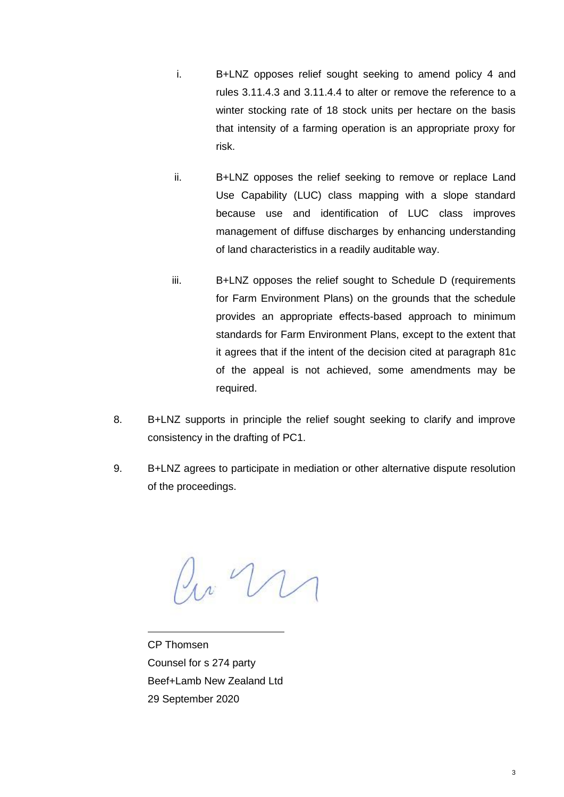- i. B+LNZ opposes relief sought seeking to amend policy 4 and rules 3.11.4.3 and 3.11.4.4 to alter or remove the reference to a winter stocking rate of 18 stock units per hectare on the basis that intensity of a farming operation is an appropriate proxy for risk.
- ii. B+LNZ opposes the relief seeking to remove or replace Land Use Capability (LUC) class mapping with a slope standard because use and identification of LUC class improves management of diffuse discharges by enhancing understanding of land characteristics in a readily auditable way.
- iii. B+LNZ opposes the relief sought to Schedule D (requirements for Farm Environment Plans) on the grounds that the schedule provides an appropriate effects-based approach to minimum standards for Farm Environment Plans, except to the extent that it agrees that if the intent of the decision cited at paragraph 81c of the appeal is not achieved, some amendments may be required.
- 8. B+LNZ supports in principle the relief sought seeking to clarify and improve consistency in the drafting of PC1.
- 9. B+LNZ agrees to participate in mediation or other alternative dispute resolution of the proceedings.

 $\mu$   $\mathcal{U}$ 

CP Thomsen Counsel for s 274 party Beef+Lamb New Zealand Ltd 29 September 2020